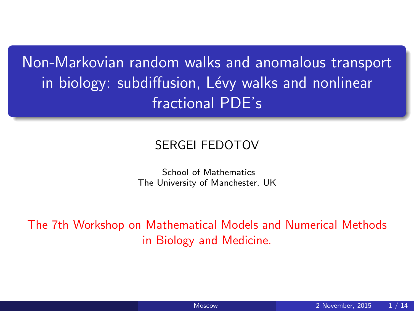Non-Markovian random walks and anomalous transport in biology: subdiffusion, Lévy walks and nonlinear fractional PDE's

#### SERGEI FEDOTOV

<span id="page-0-0"></span>School of Mathematics The University of Manchester, UK

The 7th Workshop on Mathematical Models and Numerical Methods in Biology and Medicine.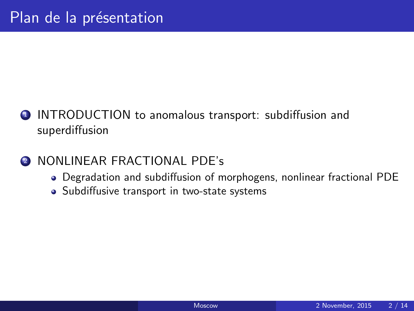- **1** INTRODUCTION to anomalous transport: subdiffusion and superdiffusion
- **2 NONLINEAR FRACTIONAL PDE's** 
	- Degradation and subdiffusion of morphogens, nonlinear fractional PDE
	- Subdiffusive transport in two-state systems

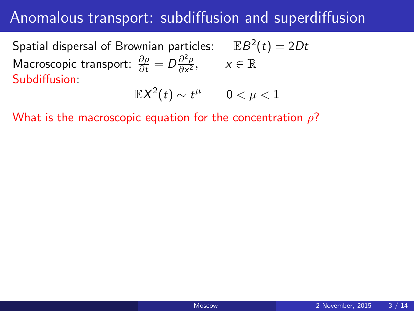#### Anomalous transport: subdiffusion and superdiffusion

Spatial dispersal of Brownian particles:  $\quad \mathbb{E}B^2(t)=2Dt$ Macroscopic transport:  $\frac{\partial \rho}{\partial t} = D \frac{\partial^2 \rho}{\partial x^2}$  $\frac{\partial^2 \rho}{\partial x^2}$ ,  $x \in \mathbb{R}$ Subdiffusion:

$$
\mathbb{E}{X^2(t)}\sim t^\mu \qquad 0<\mu<1
$$

What is the macroscopic equation for the concentration  $\rho$ ?

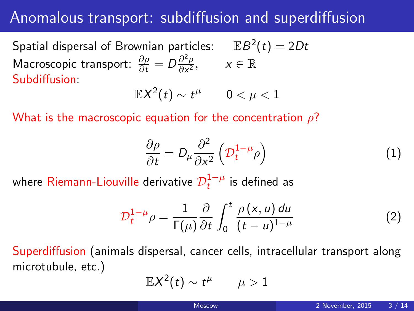#### Anomalous transport: subdiffusion and superdiffusion

Spatial dispersal of Brownian particles:  $\quad \mathbb{E}B^2(t)=2Dt$ Macroscopic transport:  $\frac{\partial \rho}{\partial t} = D \frac{\partial^2 \rho}{\partial x^2}$  $\frac{\partial^2 \rho}{\partial x^2}$ ,  $x \in \mathbb{R}$ Subdiffusion:

$$
\mathbb{E}X^2(t)\sim t^\mu \qquad 0<\mu<1
$$

What is the macroscopic equation for the concentration  $\rho$ ?

$$
\frac{\partial \rho}{\partial t} = D_{\mu} \frac{\partial^2}{\partial x^2} \left( \mathcal{D}_t^{1-\mu} \rho \right) \tag{1}
$$

where Riemann-Liouville derivative  $\mathcal{D}_t^{1-\mu}$  is defined as

$$
\mathcal{D}_t^{1-\mu}\rho = \frac{1}{\Gamma(\mu)}\frac{\partial}{\partial t}\int_0^t \frac{\rho(x,u) du}{(t-u)^{1-\mu}}
$$
(2)

Superdiffusion (animals dispersal, cancer cells, intracellular transport along microtubule, etc.)

$$
\mathbb{E} X^2(t) \sim t^\mu \qquad \mu > 1
$$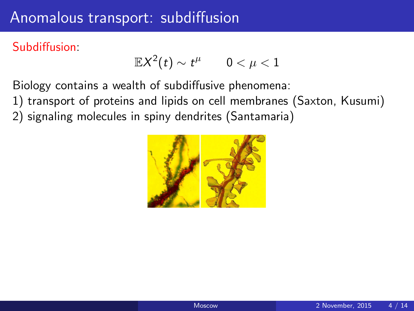### Anomalous transport: subdiffusion

#### Subdiffusion:

$$
\mathbb{E} X^2(t) \sim t^\mu \qquad 0 < \mu < 1
$$

Biology contains a wealth of subdiffusive phenomena:

- 1) transport of proteins and lipids on cell membranes (Saxton, Kusumi)
- 2) signaling molecules in spiny dendrites (Santamaria)



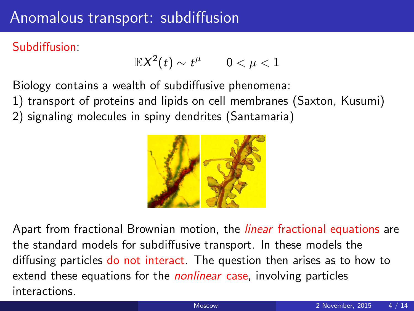### Anomalous transport: subdiffusion

#### Subdiffusion:

$$
\mathbb{E} X^2(t) \sim t^\mu \qquad 0 < \mu < 1
$$

Biology contains a wealth of subdiffusive phenomena:

- 1) transport of proteins and lipids on cell membranes (Saxton, Kusumi)
- 2) signaling molecules in spiny dendrites (Santamaria)



Apart from fractional Brownian motion, the *linear* fractional equations are the standard models for subdiffusive transport. In these models the diffusing particles do not interact. The question then arises as to how to extend these equations for the *nonlinear* case, involving particles interactions.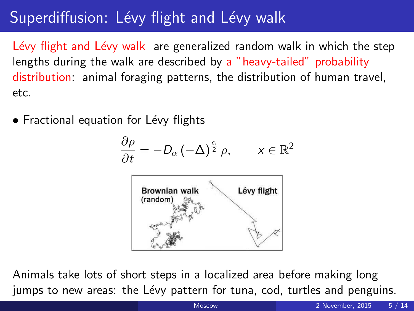# Superdiffusion: Lévy flight and Lévy walk

Lévy flight and Lévy walk are generalized random walk in which the step lengths during the walk are described by a "heavy-tailed" probability distribution: animal foraging patterns, the distribution of human travel, etc.

• Fractional equation for Lévy flights

$$
\frac{\partial \rho}{\partial t} = -D_{\alpha} \left( -\Delta \right)^{\frac{\alpha}{2}} \rho, \qquad x \in \mathbb{R}^2
$$



Animals take lots of short steps in a localized area before making long jumps to new areas: the Lévy pattern for tuna, cod, turtles and penguins.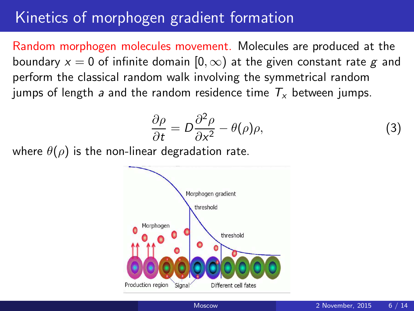#### Kinetics of morphogen gradient formation

Random morphogen molecules movement. Molecules are produced at the boundary  $x = 0$  of infinite domain  $[0, \infty)$  at the given constant rate g and perform the classical random walk involving the symmetrical random jumps of length a and the random residence time  $T_{x}$  between jumps.

$$
\frac{\partial \rho}{\partial t} = D \frac{\partial^2 \rho}{\partial x^2} - \theta(\rho)\rho,\tag{3}
$$

where  $\theta(\rho)$  is the non-linear degradation rate.

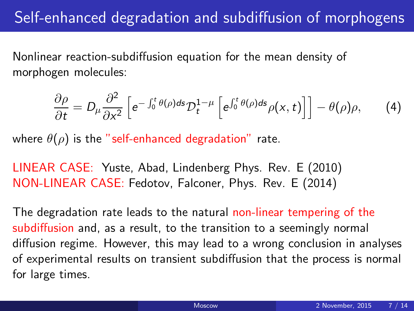## Self-enhanced degradation and subdiffusion of morphogens

Nonlinear reaction-subdiffusion equation for the mean density of morphogen molecules:

$$
\frac{\partial \rho}{\partial t} = D_{\mu} \frac{\partial^2}{\partial x^2} \left[ e^{-\int_0^t \theta(\rho) ds} \mathcal{D}_t^{1-\mu} \left[ e^{\int_0^t \theta(\rho) ds} \rho(x, t) \right] \right] - \theta(\rho) \rho, \tag{4}
$$

where  $\theta(\rho)$  is the "self-enhanced degradation" rate.

LINEAR CASE: Yuste, Abad, Lindenberg Phys. Rev. E (2010) NON-LINEAR CASE: Fedotov, Falconer, Phys. Rev. E (2014)

The degradation rate leads to the natural non-linear tempering of the subdiffusion and, as a result, to the transition to a seemingly normal diffusion regime. However, this may lead to a wrong conclusion in analyses of experimental results on transient subdiffusion that the process is normal for large times.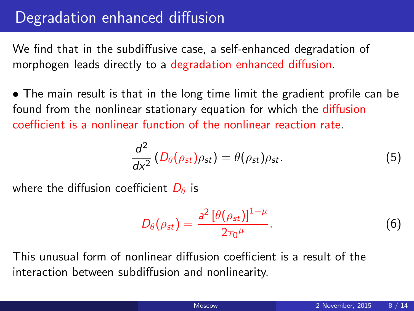## Degradation enhanced diffusion

We find that in the subdiffusive case, a self-enhanced degradation of morphogen leads directly to a degradation enhanced diffusion.

• The main result is that in the long time limit the gradient profile can be found from the nonlinear stationary equation for which the diffusion coefficient is a nonlinear function of the nonlinear reaction rate.

$$
\frac{d^2}{dx^2} \left( D_\theta(\rho_{st}) \rho_{st} \right) = \theta(\rho_{st}) \rho_{st}.\tag{5}
$$

where the diffusion coefficient  $D_{\theta}$  is

$$
D_{\theta}(\rho_{st}) = \frac{a^2 \left[\theta(\rho_{st})\right]^{1-\mu}}{2\tau_0^{\mu}}.\tag{6}
$$

This unusual form of nonlinear diffusion coefficient is a result of the interaction between subdiffusion and nonlinearity.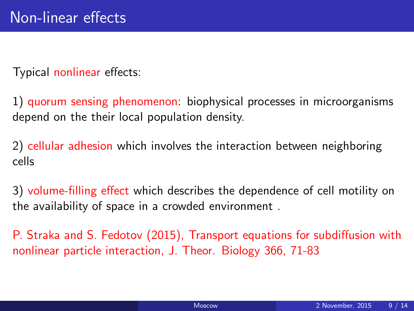Typical nonlinear effects:

1) quorum sensing phenomenon: biophysical processes in microorganisms depend on the their local population density.

2) cellular adhesion which involves the interaction between neighboring cells

3) volume-filling effect which describes the dependence of cell motility on the availability of space in a crowded environment .

P. Straka and S. Fedotov (2015), Transport equations for subdiffusion with nonlinear particle interaction, J. Theor. Biology 366, 71-83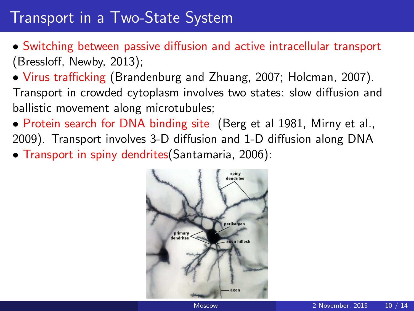## Transport in a Two-State System

- Switching between passive diffusion and active intracellular transport (Bressloff, Newby, 2013);
- Virus trafficking (Brandenburg and Zhuang, 2007; Holcman, 2007). Transport in crowded cytoplasm involves two states: slow diffusion and ballistic movement along microtubules;
- Protein search for DNA binding site (Berg et al 1981, Mirny et al., 2009). Transport involves 3-D diffusion and 1-D diffusion along DNA
- Transport in spiny dendrites(Santamaria, 2006):

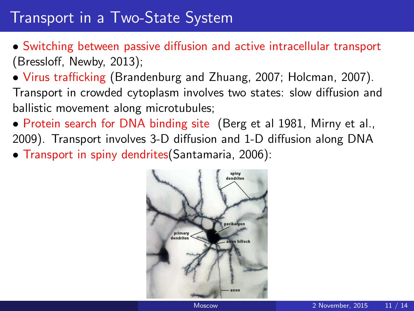## Transport in a Two-State System

- Switching between passive diffusion and active intracellular transport (Bressloff, Newby, 2013);
- Virus trafficking (Brandenburg and Zhuang, 2007; Holcman, 2007). Transport in crowded cytoplasm involves two states: slow diffusion and ballistic movement along microtubules;
- Protein search for DNA binding site (Berg et al 1981, Mirny et al., 2009). Transport involves 3-D diffusion and 1-D diffusion along DNA
- Transport in spiny dendrites(Santamaria, 2006):

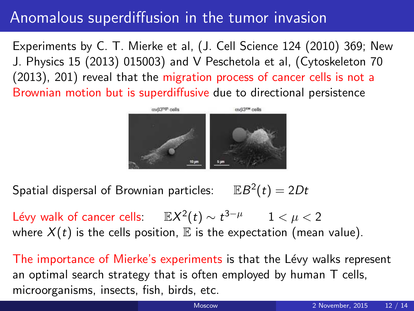### Anomalous superdiffusion in the tumor invasion

Experiments by C. T. Mierke et al, (J. Cell Science 124 (2010) 369; New J. Physics 15 (2013) 015003) and V Peschetola et al, (Cytoskeleton 70 (2013), 201) reveal that the migration process of cancer cells is not a Brownian motion but is superdiffusive due to directional persistence



Spatial dispersal of Brownian particles:  $2(t)=2Dt$ 

Lévy walk of cancer cells:  $\mathbb{E} X^2(t) \sim t^{3-\mu}$   $1 < \mu < 2$ where  $X(t)$  is the cells position,  $E$  is the expectation (mean value).

The importance of Mierke's experiments is that the Lévy walks represent an optimal search strategy that is often employed by human T cells, microorganisms, insects, fish, birds, etc.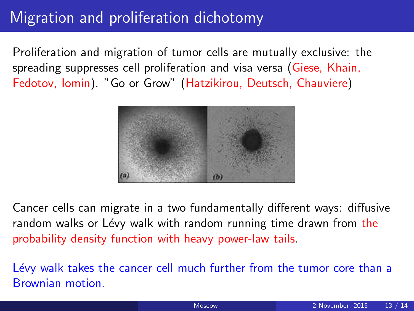## Migration and proliferation dichotomy

Proliferation and migration of tumor cells are mutually exclusive: the spreading suppresses cell proliferation and visa versa (Giese, Khain, Fedotov, Iomin). "Go or Grow" (Hatzikirou, Deutsch, Chauviere)



Cancer cells can migrate in a two fundamentally different ways: diffusive random walks or Lévy walk with random running time drawn from the probability density function with heavy power-law tails.

Lévy walk takes the cancer cell much further from the tumor core than a Brownian motion.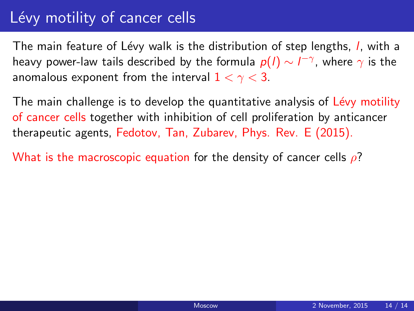## Lévy motility of cancer cells

The main feature of Lévy walk is the distribution of step lengths, *l*, with a heavy power-law tails described by the formula  $p(l) \sim l^{-\gamma}$ , where  $\gamma$  is the anomalous exponent from the interval  $1 < \gamma < 3$ .

The main challenge is to develop the quantitative analysis of Lévy motility of cancer cells together with inhibition of cell proliferation by anticancer therapeutic agents, Fedotov, Tan, Zubarev, Phys. Rev. E (2015).

What is the macroscopic equation for the density of cancer cells  $\rho$ ?

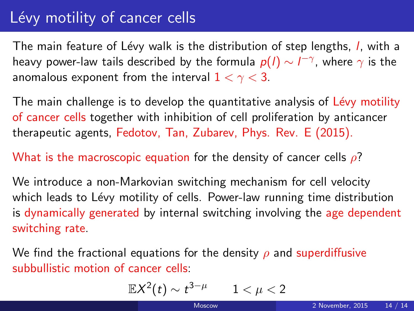## Lévy motility of cancer cells

The main feature of Lévy walk is the distribution of step lengths, *l*, with a heavy power-law tails described by the formula  $p(l) \sim l^{-\gamma}$ , where  $\gamma$  is the anomalous exponent from the interval  $1 < \gamma < 3$ .

The main challenge is to develop the quantitative analysis of Lévy motility of cancer cells together with inhibition of cell proliferation by anticancer therapeutic agents, Fedotov, Tan, Zubarev, Phys. Rev. E (2015).

What is the macroscopic equation for the density of cancer cells  $\rho$ ?

We introduce a non-Markovian switching mechanism for cell velocity which leads to Lévy motility of cells. Power-law running time distribution is dynamically generated by internal switching involving the age dependent switching rate.

We find the fractional equations for the density  $\rho$  and superdiffusive subbullistic motion of cancer cells:

$$
\mathbb{E} X^2(t) \sim t^{3-\mu} \qquad 1 < \mu < 2
$$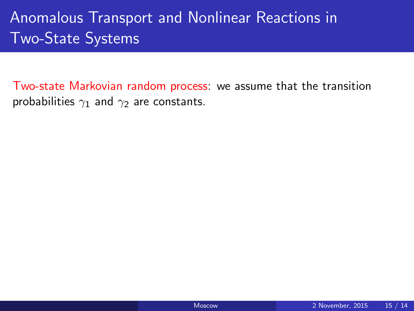# Anomalous Transport and Nonlinear Reactions in Two-State Systems

Two-state Markovian random process: we assume that the transition probabilities  $\gamma_1$  and  $\gamma_2$  are constants.

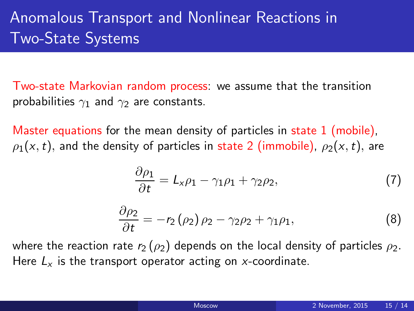# Anomalous Transport and Nonlinear Reactions in Two-State Systems

Two-state Markovian random process: we assume that the transition probabilities  $\gamma_1$  and  $\gamma_2$  are constants.

Master equations for the mean density of particles in state 1 (mobile),  $\rho_1(x,t)$ , and the density of particles in state 2 (immobile),  $\rho_2(x,t)$ , are

$$
\frac{\partial \rho_1}{\partial t} = L_x \rho_1 - \gamma_1 \rho_1 + \gamma_2 \rho_2,\tag{7}
$$

<span id="page-18-0"></span>
$$
\frac{\partial \rho_2}{\partial t} = -r_2 (\rho_2) \rho_2 - \gamma_2 \rho_2 + \gamma_1 \rho_1, \tag{8}
$$

where the reaction rate  $r_2$  ( $\rho_2$ ) depends on the local density of particles  $\rho_2$ . Here  $L<sub>x</sub>$  is the transport operator acting on x-coordinate.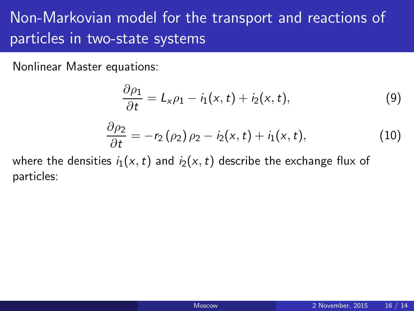# Non-Markovian model for the transport and reactions of particles in two-state systems

Nonlinear Master equations:

$$
\frac{\partial \rho_1}{\partial t} = L_x \rho_1 - i_1(x, t) + i_2(x, t), \tag{9}
$$

$$
\frac{\partial \rho_2}{\partial t} = -r_2(\rho_2)\rho_2 - i_2(x,t) + i_1(x,t),\tag{10}
$$

where the densities  $i_1(x,t)$  and  $i_2(x,t)$  describe the exchange flux of particles: